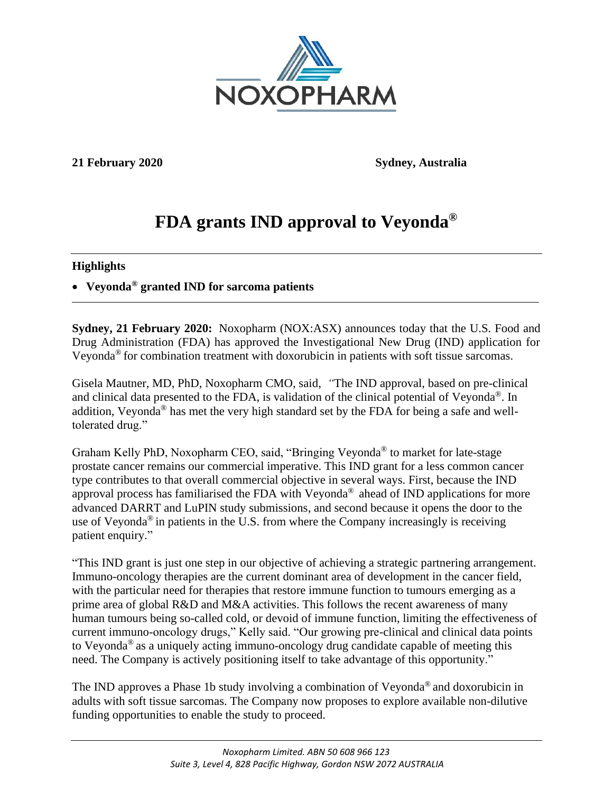

**21 February 2020 Sydney, Australia**

# **FDA grants IND approval to Veyonda®**

## **Highlights**

• **Veyonda® granted IND for sarcoma patients**

**Sydney, 21 February 2020:** Noxopharm (NOX:ASX) announces today that the U.S. Food and Drug Administration (FDA) has approved the Investigational New Drug (IND) application for Veyonda® for combination treatment with doxorubicin in patients with soft tissue sarcomas.

Gisela Mautner, MD, PhD, Noxopharm CMO, said, *"*The IND approval, based on pre-clinical and clinical data presented to the FDA, is validation of the clinical potential of Veyonda®. In addition, Veyonda® has met the very high standard set by the FDA for being a safe and welltolerated drug."

Graham Kelly PhD, Noxopharm CEO, said, "Bringing Veyonda® to market for late-stage prostate cancer remains our commercial imperative. This IND grant for a less common cancer type contributes to that overall commercial objective in several ways. First, because the IND approval process has familiarised the FDA with Veyonda® ahead of IND applications for more advanced DARRT and LuPIN study submissions, and second because it opens the door to the use of Veyonda<sup>®</sup> in patients in the U.S. from where the Company increasingly is receiving patient enquiry."

"This IND grant is just one step in our objective of achieving a strategic partnering arrangement. Immuno-oncology therapies are the current dominant area of development in the cancer field, with the particular need for therapies that restore immune function to tumours emerging as a prime area of global R&D and M&A activities. This follows the recent awareness of many human tumours being so-called cold, or devoid of immune function, limiting the effectiveness of current immuno-oncology drugs," Kelly said. "Our growing pre-clinical and clinical data points to Veyonda® as a uniquely acting immuno-oncology drug candidate capable of meeting this need. The Company is actively positioning itself to take advantage of this opportunity."

The IND approves a Phase 1b study involving a combination of Veyonda® and doxorubicin in adults with soft tissue sarcomas. The Company now proposes to explore available non-dilutive funding opportunities to enable the study to proceed.